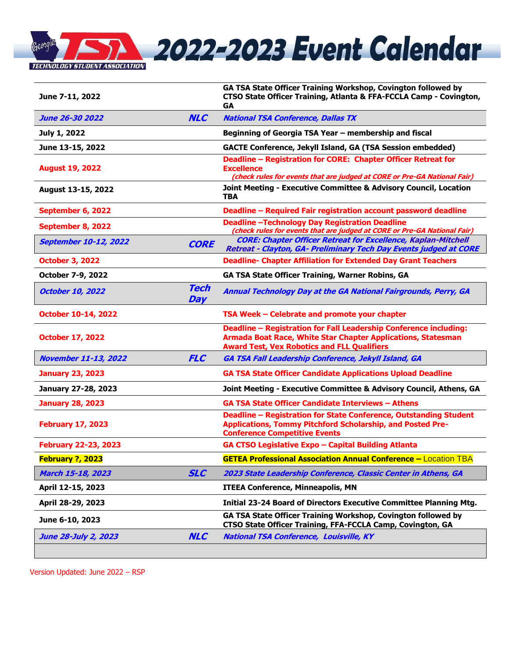

| June 7-11, 2022                             |                    | GA TSA State Officer Training Workshop, Covington followed by<br>CTSO State Officer Training, Atlanta & FFA-FCCLA Camp - Covington,<br>GА                                               |  |  |
|---------------------------------------------|--------------------|-----------------------------------------------------------------------------------------------------------------------------------------------------------------------------------------|--|--|
| <b>June 26-30 2022</b>                      | <b>NLC</b>         | <b>National TSA Conference, Dallas TX</b>                                                                                                                                               |  |  |
| July 1, 2022                                |                    | Beginning of Georgia TSA Year - membership and fiscal                                                                                                                                   |  |  |
| June 13-15, 2022                            |                    | GACTE Conference, Jekyll Island, GA (TSA Session embedded)                                                                                                                              |  |  |
| <b>August 19, 2022</b>                      |                    | Deadline - Registration for CORE: Chapter Officer Retreat for<br><b>Excellence</b><br>(check rules for events that are judged at CORE or Pre-GA National Fair)                          |  |  |
| August 13-15, 2022                          |                    | Joint Meeting - Executive Committee & Advisory Council, Location<br><b>TBA</b>                                                                                                          |  |  |
| September 6, 2022                           |                    | Deadline - Required Fair registration account password deadline                                                                                                                         |  |  |
| September 8, 2022                           |                    | <b>Deadline-Technology Day Registration Deadline</b><br>(check rules for events that are judged at CORE or Pre-GA National Fair)                                                        |  |  |
| <b>September 10-12, 2022</b><br><b>CORE</b> |                    | <b>CORE: Chapter Officer Retreat for Excellence, Kaplan-Mitchell</b><br>Retreat - Clayton, GA- Preliminary Tech Day Events judged at CORE                                               |  |  |
| <b>October 3, 2022</b>                      |                    | <b>Deadline- Chapter Affiliation for Extended Day Grant Teachers</b>                                                                                                                    |  |  |
| <b>October 7-9, 2022</b>                    |                    | <b>GA TSA State Officer Training, Warner Robins, GA</b>                                                                                                                                 |  |  |
| <b>October 10, 2022</b>                     | <b>Tech</b><br>Day | Annual Technology Day at the GA National Fairgrounds, Perry, GA                                                                                                                         |  |  |
| <b>October 10-14, 2022</b>                  |                    | TSA Week - Celebrate and promote your chapter                                                                                                                                           |  |  |
| <b>October 17, 2022</b>                     |                    | Deadline - Registration for Fall Leadership Conference including:<br>Armada Boat Race, White Star Chapter Applications, Statesman<br><b>Award Test, Vex Robotics and FLL Qualifiers</b> |  |  |
| <b>November 11-13, 2022</b>                 | <b>FLC</b>         | <b>GA TSA Fall Leadership Conference, Jekyll Island, GA</b>                                                                                                                             |  |  |
| <b>January 23, 2023</b>                     |                    | <b>GA TSA State Officer Candidate Applications Upload Deadline</b>                                                                                                                      |  |  |
| January 27-28, 2023                         |                    | Joint Meeting - Executive Committee & Advisory Council, Athens, GA                                                                                                                      |  |  |
| <b>January 28, 2023</b>                     |                    | <b>GA TSA State Officer Candidate Interviews - Athens</b>                                                                                                                               |  |  |
| <b>February 17, 2023</b>                    |                    | Deadline - Registration for State Conference, Outstanding Student<br>Applications, Tommy Pitchford Scholarship, and Posted Pre-<br><b>Conference Competitive Events</b>                 |  |  |
| <b>February 22-23, 2023</b>                 |                    | GA CTSO Legislative Expo - Capital Building Atlanta                                                                                                                                     |  |  |
| February ?, 2023                            |                    | <b>GETEA Professional Association Annual Conference - Location TBA</b>                                                                                                                  |  |  |
| March 15-18, 2023                           | <b>SLC</b>         | 2023 State Leadership Conference, Classic Center in Athens, GA                                                                                                                          |  |  |
| April 12-15, 2023                           |                    | <b>ITEEA Conference, Minneapolis, MN</b>                                                                                                                                                |  |  |
| April 28-29, 2023                           |                    | Initial 23-24 Board of Directors Executive Committee Planning Mtg.                                                                                                                      |  |  |
| June 6-10, 2023                             |                    | GA TSA State Officer Training Workshop, Covington followed by<br>CTSO State Officer Training, FFA-FCCLA Camp, Covington, GA                                                             |  |  |
| June 28-July 2, 2023                        | <b>NLC</b>         | <b>National TSA Conference, Louisville, KY</b>                                                                                                                                          |  |  |

Version Updated: June 2022 – RSP